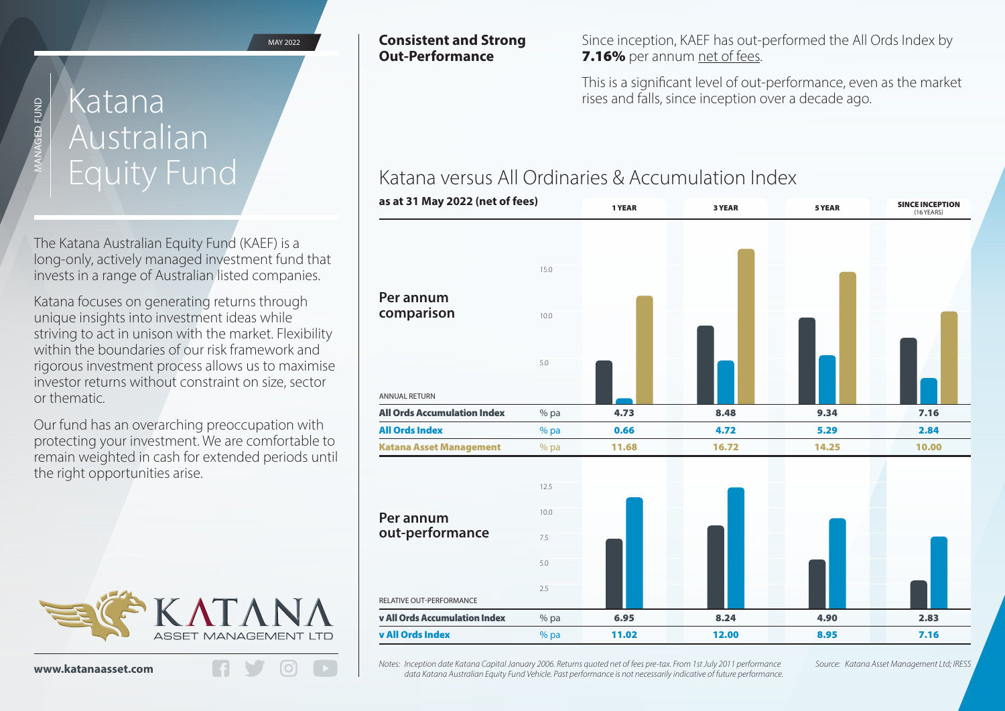MAY 2022

# Australian Equity Fund

MANAGED FUND

**GED FUND** 

The Katana Australian Equity Fund (KAEF) is a long-only, actively managed investment fund that invests in a range of Australian listed companies.

Katana focuses on generating returns through unique insights into investment ideas while striving to act in unison with the market. Flexibility within the boundaries of our risk framework and rigorous investment process allows us to maximise investor returns without constraint on size, sector or thematic.

Our fund has an overarching preoccupation with protecting your investment. We are comfortable to remain weighted in cash for extended periods until the right opportunities arise.



### **Consistent and Strong Out-Performance**

Since inception, KAEF has out-performed the All Ords Index by 7.16% per annum net of fees.

This is a significant level of out-performance, even as the market Ratana Matana Rata September 2018, and falls, since inception over a decade ago.

## Katana versus All Ordinaries & Accumulation Index



*Notes: Inception date Katana Capital January 2006. Returns quoted net of fees pre-tax. From 1st July 2011 performance Source: Katana Asset Management Ltd; IRESS data Katana Australian Equity Fund Vehicle. Past performance is not necessarily indicative of future performance.*